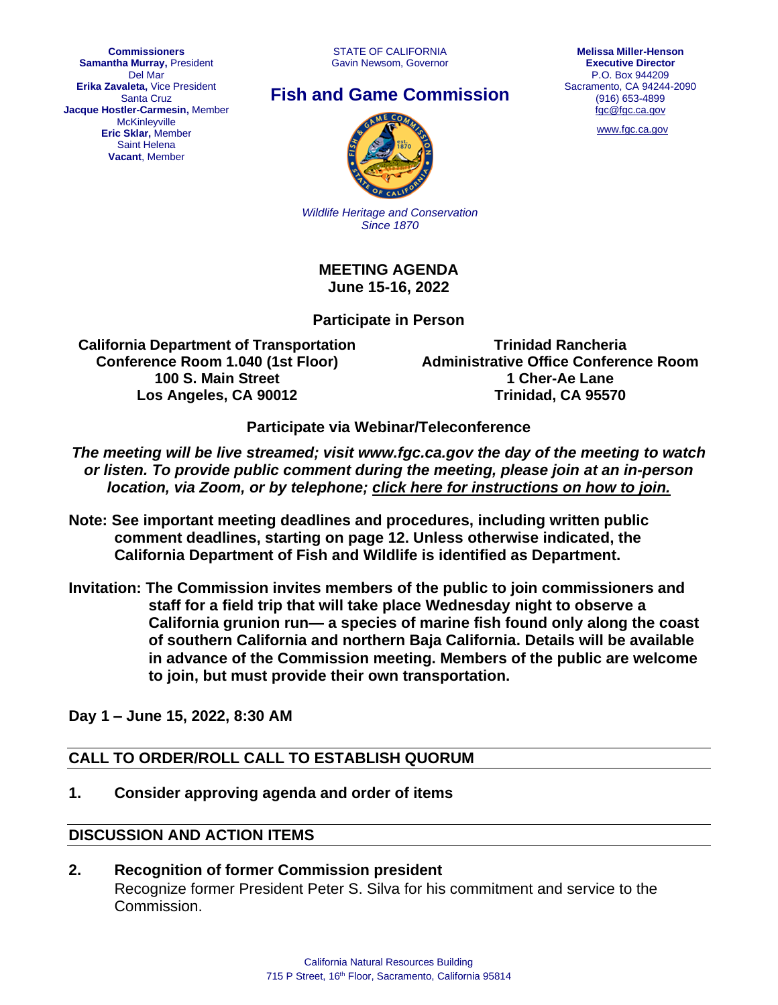STATE OF CALIFORNIA Gavin Newsom, Governor



# **Fish and Game Commission**



[www.fgc.ca.gov](http://www.fgc.ca.gov/)



*Wildlife Heritage and Conservation Since 1870*

**MEETING AGENDA June 15-16, 2022**

#### **Participate in Person**

**California Department of Transportation Conference Room 1.040 (1st Floor) 100 S. Main Street Los Angeles, CA 90012**

**Trinidad Rancheria Administrative Office Conference Room 1 Cher-Ae Lane Trinidad, CA 95570** 

**Participate via Webinar/Teleconference**

*The meeting will be live streamed; visit www.fgc.ca.gov the day of the meeting to watch or listen. To provide public comment during the meeting, please join at an in-person location, via Zoom, or by telephone; click here [for instructions on how to join.](https://nrm.dfg.ca.gov/FileHandler.ashx?DocumentID=201927&inline)*

- **Note: See important meeting deadlines and procedures, including written public comment deadlines, starting on page 12. Unless otherwise indicated, the California Department of Fish and Wildlife is identified as Department.**
- **Invitation: The Commission invites members of the public to join commissioners and staff for a field trip that will take place Wednesday night to observe a California grunion run— a species of marine fish found only along the coast of southern California and northern Baja California. Details will be available in advance of the Commission meeting. Members of the public are welcome to join, but must provide their own transportation.**

**Day 1 – June 15, 2022, 8:30 AM**

#### **CALL TO ORDER/ROLL CALL TO ESTABLISH QUORUM**

**1. Consider approving agenda and order of items**

#### **DISCUSSION AND ACTION ITEMS**

**2. Recognition of former Commission president** Recognize former President Peter S. Silva for his commitment and service to the Commission.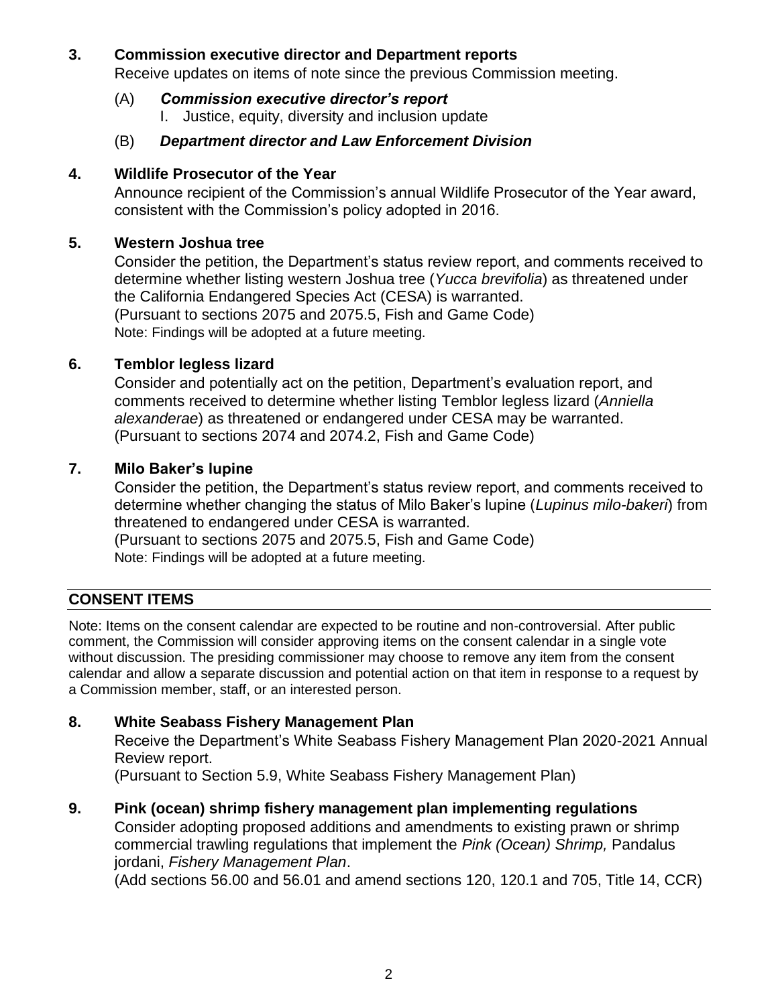#### **3. Commission executive director and Department reports**

Receive updates on items of note since the previous Commission meeting.

(A) *Commission executive director's report* I. Justice, equity, diversity and inclusion update

#### (B) *Department director and Law Enforcement Division*

#### **4. Wildlife Prosecutor of the Year**

Announce recipient of the Commission's annual Wildlife Prosecutor of the Year award, consistent with the Commission's policy adopted in 2016.

#### **5. Western Joshua tree**

Consider the petition, the Department's status review report, and comments received to determine whether listing western Joshua tree (*Yucca brevifolia*) as threatened under the California Endangered Species Act (CESA) is warranted. (Pursuant to sections 2075 and 2075.5, Fish and Game Code) Note: Findings will be adopted at a future meeting.

#### **6. Temblor legless lizard**

Consider and potentially act on the petition, Department's evaluation report, and comments received to determine whether listing Temblor legless lizard (*Anniella alexanderae*) as threatened or endangered under CESA may be warranted. (Pursuant to sections 2074 and 2074.2, Fish and Game Code)

### **7. Milo Baker's lupine**

Consider the petition, the Department's status review report, and comments received to determine whether changing the status of Milo Baker's lupine (*Lupinus milo-bakeri*) from threatened to endangered under CESA is warranted.

(Pursuant to sections 2075 and 2075.5, Fish and Game Code) Note: Findings will be adopted at a future meeting.

### **CONSENT ITEMS**

Note: Items on the consent calendar are expected to be routine and non-controversial. After public comment, the Commission will consider approving items on the consent calendar in a single vote without discussion. The presiding commissioner may choose to remove any item from the consent calendar and allow a separate discussion and potential action on that item in response to a request by a Commission member, staff, or an interested person.

### **8. White Seabass Fishery Management Plan**

Receive the Department's White Seabass Fishery Management Plan 2020-2021 Annual Review report.

(Pursuant to Section 5.9, White Seabass Fishery Management Plan)

#### **9. Pink (ocean) shrimp fishery management plan implementing regulations**

Consider adopting proposed additions and amendments to existing prawn or shrimp commercial trawling regulations that implement the *Pink (Ocean) Shrimp,* Pandalus jordani, *Fishery Management Plan*.

(Add sections 56.00 and 56.01 and amend sections 120, 120.1 and 705, Title 14, CCR)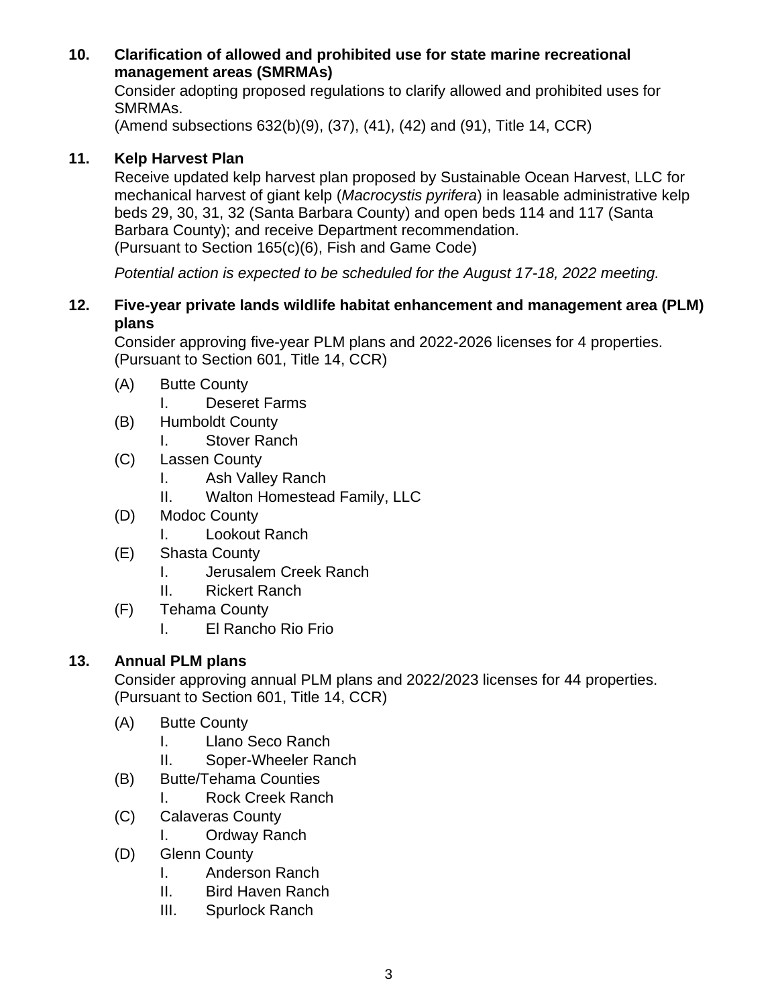### **10. Clarification of allowed and prohibited use for state marine recreational management areas (SMRMAs)**

Consider adopting proposed regulations to clarify allowed and prohibited uses for SMRMAs.

(Amend subsections 632(b)(9), (37), (41), (42) and (91), Title 14, CCR)

## **11. Kelp Harvest Plan**

Receive updated kelp harvest plan proposed by Sustainable Ocean Harvest, LLC for mechanical harvest of giant kelp (*Macrocystis pyrifera*) in leasable administrative kelp beds 29, 30, 31, 32 (Santa Barbara County) and open beds 114 and 117 (Santa Barbara County); and receive Department recommendation. (Pursuant to Section 165(c)(6), Fish and Game Code)

*Potential action is expected to be scheduled for the August 17-18, 2022 meeting.*

### **12. Five-year private lands wildlife habitat enhancement and management area (PLM) plans**

Consider approving five-year PLM plans and 2022-2026 licenses for 4 properties. (Pursuant to Section 601, Title 14, CCR)

- (A) Butte County
	- I. Deseret Farms
- (B) Humboldt County
	- I. Stover Ranch
- (C) Lassen County
	- I. Ash Valley Ranch
	- II. Walton Homestead Family, LLC
- (D) Modoc County
	- I. Lookout Ranch
- (E) Shasta County
	- I. Jerusalem Creek Ranch
	- II. Rickert Ranch
- (F) Tehama County
	- I. El Rancho Rio Frio

## **13. Annual PLM plans**

Consider approving annual PLM plans and 2022/2023 licenses for 44 properties. (Pursuant to Section 601, Title 14, CCR)

- (A) Butte County
	- I. Llano Seco Ranch
	- II. Soper-Wheeler Ranch
- (B) Butte/Tehama Counties
	- I. Rock Creek Ranch
- (C) Calaveras County
	- I. Ordway Ranch
- (D) Glenn County
	- I. Anderson Ranch
	- II. Bird Haven Ranch
	- III. Spurlock Ranch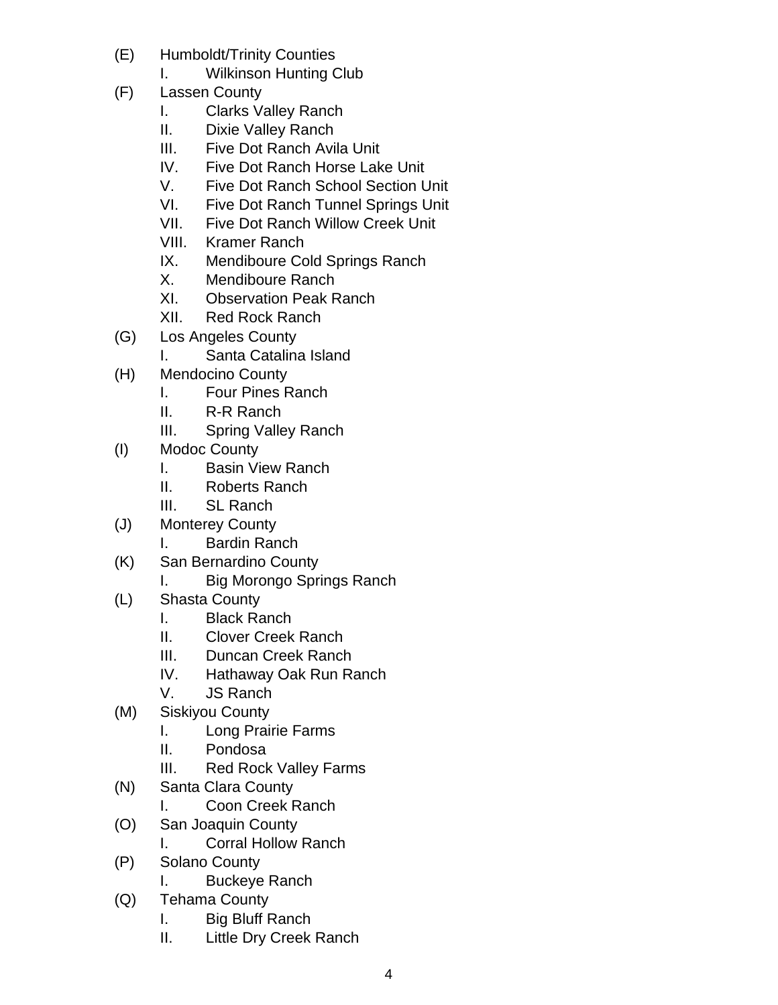- (E) Humboldt/Trinity Counties
	- I. Wilkinson Hunting Club
- (F) Lassen County
	- I. Clarks Valley Ranch
	- II. Dixie Valley Ranch
	- III. Five Dot Ranch Avila Unit
	- IV. Five Dot Ranch Horse Lake Unit
	- V. Five Dot Ranch School Section Unit
	- VI. Five Dot Ranch Tunnel Springs Unit
	- VII. Five Dot Ranch Willow Creek Unit
	- VIII. Kramer Ranch
	- IX. Mendiboure Cold Springs Ranch
	- X. Mendiboure Ranch
	- XI. Observation Peak Ranch
	- XII. Red Rock Ranch
- (G) Los Angeles County
	- I. Santa Catalina Island
- (H) Mendocino County
	- I. Four Pines Ranch
	- II. R-R Ranch
	- III. Spring Valley Ranch
- (I) Modoc County
	- I. Basin View Ranch
	- II. Roberts Ranch
	- III. SL Ranch
- (J) Monterey County
	- I. Bardin Ranch
- (K) San Bernardino County
	- I. Big Morongo Springs Ranch
- (L) Shasta County
	- I. Black Ranch
	- II. Clover Creek Ranch
	- III. Duncan Creek Ranch
	- IV. Hathaway Oak Run Ranch
	- V. JS Ranch
- (M) Siskiyou County
	- I. Long Prairie Farms
	- II. Pondosa
	- III. Red Rock Valley Farms
- (N) Santa Clara County
	- I. Coon Creek Ranch
- (O) San Joaquin County
	- I. Corral Hollow Ranch
- (P) Solano County
	- I. Buckeye Ranch
- (Q) Tehama County
	- I. Big Bluff Ranch
	- II. Little Dry Creek Ranch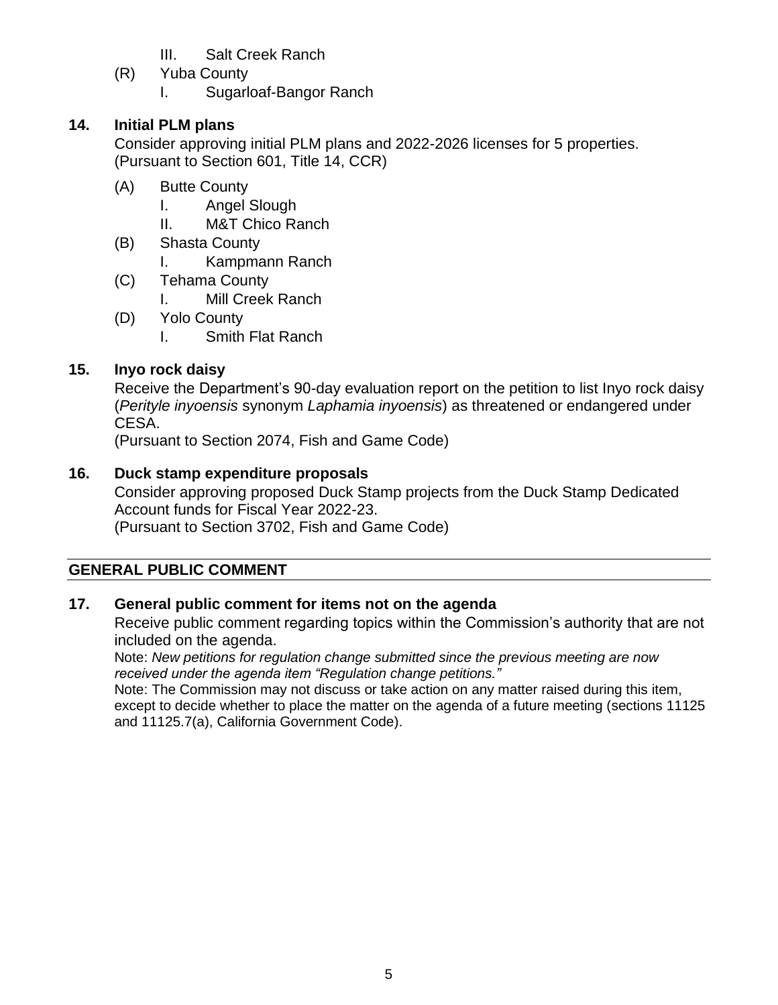- III. Salt Creek Ranch
- (R) Yuba County

I. Sugarloaf-Bangor Ranch

## **14. Initial PLM plans**

Consider approving initial PLM plans and 2022-2026 licenses for 5 properties. (Pursuant to Section 601, Title 14, CCR)

- (A) Butte County
	- I. Angel Slough
	- II. M&T Chico Ranch
- (B) Shasta County
	- I. Kampmann Ranch
- (C) Tehama County
	- I. Mill Creek Ranch
- (D) Yolo County
	- I. Smith Flat Ranch

## **15. Inyo rock daisy**

Receive the Department's 90-day evaluation report on the petition to list Inyo rock daisy (*Perityle inyoensis* synonym *Laphamia inyoensis*) as threatened or endangered under CESA.

(Pursuant to Section 2074, Fish and Game Code)

## **16. Duck stamp expenditure proposals**

Consider approving proposed Duck Stamp projects from the Duck Stamp Dedicated Account funds for Fiscal Year 2022-23. (Pursuant to Section 3702, Fish and Game Code)

## **GENERAL PUBLIC COMMENT**

## **17. General public comment for items not on the agenda**

Receive public comment regarding topics within the Commission's authority that are not included on the agenda.

Note: *New petitions for regulation change submitted since the previous meeting are now received under the agenda item "Regulation change petitions."*

Note: The Commission may not discuss or take action on any matter raised during this item, except to decide whether to place the matter on the agenda of a future meeting (sections 11125 and 11125.7(a), California Government Code).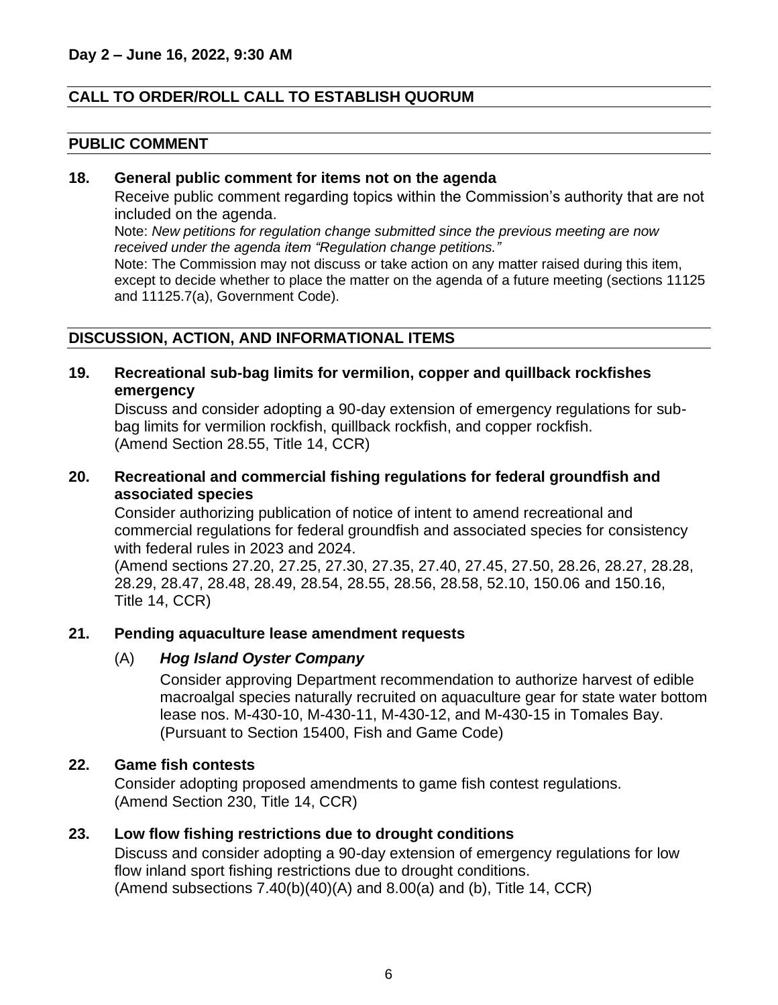#### **CALL TO ORDER/ROLL CALL TO ESTABLISH QUORUM**

#### **PUBLIC COMMENT**

#### **18. General public comment for items not on the agenda**

Receive public comment regarding topics within the Commission's authority that are not included on the agenda.

Note: *New petitions for regulation change submitted since the previous meeting are now received under the agenda item "Regulation change petitions."*

Note: The Commission may not discuss or take action on any matter raised during this item, except to decide whether to place the matter on the agenda of a future meeting (sections 11125 and 11125.7(a), Government Code).

#### **DISCUSSION, ACTION, AND INFORMATIONAL ITEMS**

**19. Recreational sub-bag limits for vermilion, copper and quillback rockfishes emergency**

Discuss and consider adopting a 90-day extension of emergency regulations for subbag limits for vermilion rockfish, quillback rockfish, and copper rockfish. (Amend Section 28.55, Title 14, CCR)

**20. Recreational and commercial fishing regulations for federal groundfish and associated species**

Consider authorizing publication of notice of intent to amend recreational and commercial regulations for federal groundfish and associated species for consistency with federal rules in 2023 and 2024.

(Amend sections 27.20, 27.25, 27.30, 27.35, 27.40, 27.45, 27.50, 28.26, 28.27, 28.28, 28.29, 28.47, 28.48, 28.49, 28.54, 28.55, 28.56, 28.58, 52.10, 150.06 and 150.16, Title 14, CCR)

#### **21. Pending aquaculture lease amendment requests**

#### (A) *Hog Island Oyster Company*

Consider approving Department recommendation to authorize harvest of edible macroalgal species naturally recruited on aquaculture gear for state water bottom lease nos. M-430-10, M-430-11, M-430-12, and M-430-15 in Tomales Bay. (Pursuant to Section 15400, Fish and Game Code)

#### **22. Game fish contests**

Consider adopting proposed amendments to game fish contest regulations. (Amend Section 230, Title 14, CCR)

#### **23. Low flow fishing restrictions due to drought conditions**

Discuss and consider adopting a 90-day extension of emergency regulations for low flow inland sport fishing restrictions due to drought conditions. (Amend subsections  $7.40(b)(40)(A)$  and  $8.00(a)$  and (b), Title 14, CCR)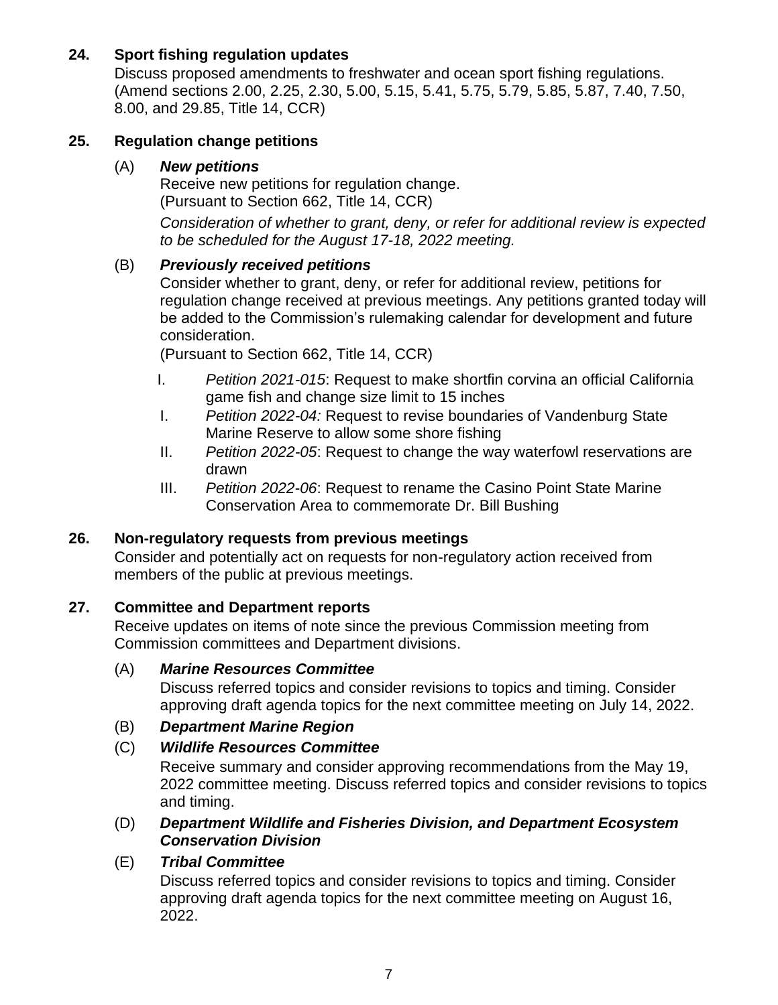## **24. Sport fishing regulation updates**

Discuss proposed amendments to freshwater and ocean sport fishing regulations. (Amend sections 2.00, 2.25, 2.30, 5.00, 5.15, 5.41, 5.75, 5.79, 5.85, 5.87, 7.40, 7.50, 8.00, and 29.85, Title 14, CCR)

### **25. Regulation change petitions**

#### (A) *New petitions*

Receive new petitions for regulation change. (Pursuant to Section 662, Title 14, CCR)

*Consideration of whether to grant, deny, or refer for additional review is expected to be scheduled for the August 17-18, 2022 meeting.*

### (B) *Previously received petitions*

Consider whether to grant, deny, or refer for additional review, petitions for regulation change received at previous meetings. Any petitions granted today will be added to the Commission's rulemaking calendar for development and future consideration.

(Pursuant to Section 662, Title 14, CCR)

- I. *Petition 2021-015*: Request to make shortfin corvina an official California game fish and change size limit to 15 inches
- I. *Petition 2022-04:* Request to revise boundaries of Vandenburg State Marine Reserve to allow some shore fishing
- II. *Petition 2022-05*: Request to change the way waterfowl reservations are drawn
- III. *Petition 2022*-*06*: Request to rename the Casino Point State Marine Conservation Area to commemorate Dr. Bill Bushing

### **26. Non-regulatory requests from previous meetings**

Consider and potentially act on requests for non-regulatory action received from members of the public at previous meetings.

### **27. Committee and Department reports**

Receive updates on items of note since the previous Commission meeting from Commission committees and Department divisions.

#### (A) *Marine Resources Committee*

Discuss referred topics and consider revisions to topics and timing. Consider approving draft agenda topics for the next committee meeting on July 14, 2022.

### (B) *Department Marine Region*

### (C) *Wildlife Resources Committee*

Receive summary and consider approving recommendations from the May 19, 2022 committee meeting. Discuss referred topics and consider revisions to topics and timing.

#### (D) *Department Wildlife and Fisheries Division, and Department Ecosystem Conservation Division*

### (E) *Tribal Committee*

Discuss referred topics and consider revisions to topics and timing. Consider approving draft agenda topics for the next committee meeting on August 16, 2022.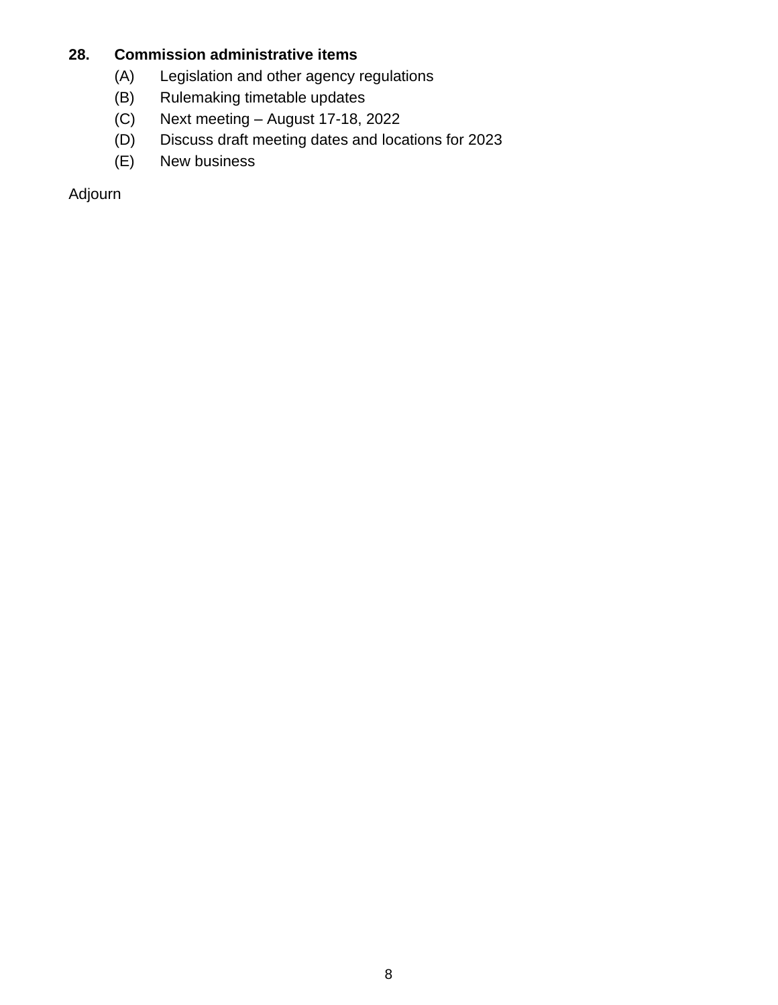## **28. Commission administrative items**

- (A) Legislation and other agency regulations
- (B) Rulemaking timetable updates
- (C) Next meeting August 17-18, 2022
- (D) Discuss draft meeting dates and locations for 2023
- (E) New business

Adjourn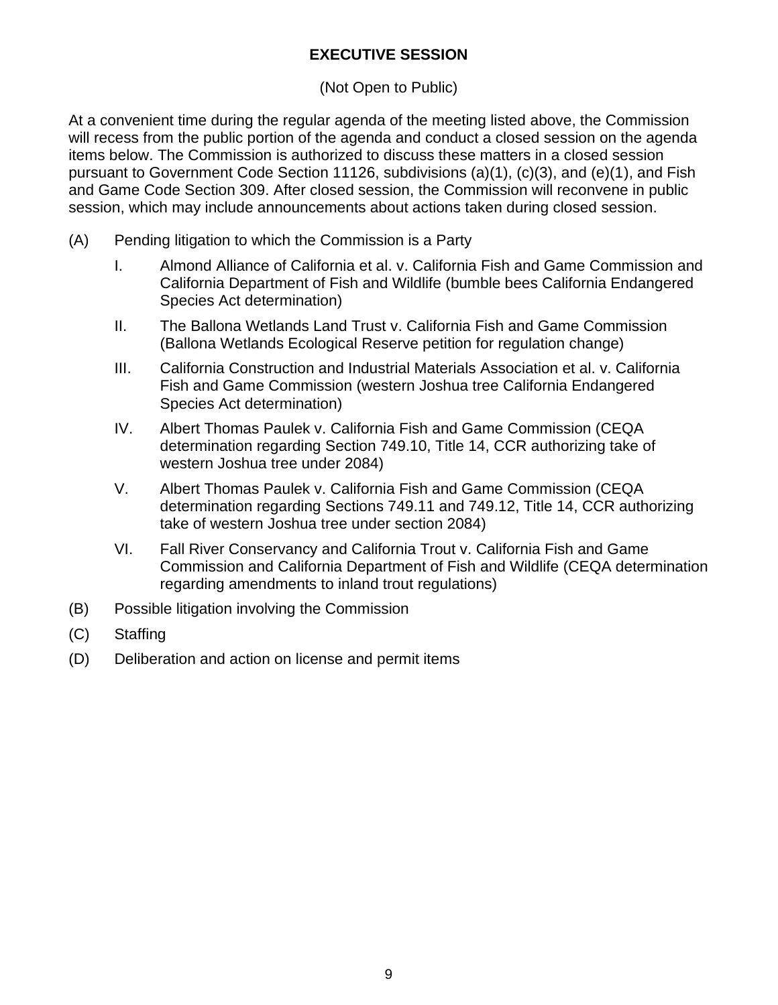## **EXECUTIVE SESSION**

## (Not Open to Public)

At a convenient time during the regular agenda of the meeting listed above, the Commission will recess from the public portion of the agenda and conduct a closed session on the agenda items below. The Commission is authorized to discuss these matters in a closed session pursuant to Government Code Section 11126, subdivisions (a)(1), (c)(3), and (e)(1), and Fish and Game Code Section 309. After closed session, the Commission will reconvene in public session, which may include announcements about actions taken during closed session.

- (A) Pending litigation to which the Commission is a Party
	- I. Almond Alliance of California et al. v. California Fish and Game Commission and California Department of Fish and Wildlife (bumble bees California Endangered Species Act determination)
	- II. The Ballona Wetlands Land Trust v. California Fish and Game Commission (Ballona Wetlands Ecological Reserve petition for regulation change)
	- III. California Construction and Industrial Materials Association et al. v. California Fish and Game Commission (western Joshua tree California Endangered Species Act determination)
	- IV. Albert Thomas Paulek v. California Fish and Game Commission (CEQA determination regarding Section 749.10, Title 14, CCR authorizing take of western Joshua tree under 2084)
	- V. Albert Thomas Paulek v. California Fish and Game Commission (CEQA determination regarding Sections 749.11 and 749.12, Title 14, CCR authorizing take of western Joshua tree under section 2084)
	- VI. Fall River Conservancy and California Trout v. California Fish and Game Commission and California Department of Fish and Wildlife (CEQA determination regarding amendments to inland trout regulations)
- (B) Possible litigation involving the Commission
- (C) Staffing
- (D) Deliberation and action on license and permit items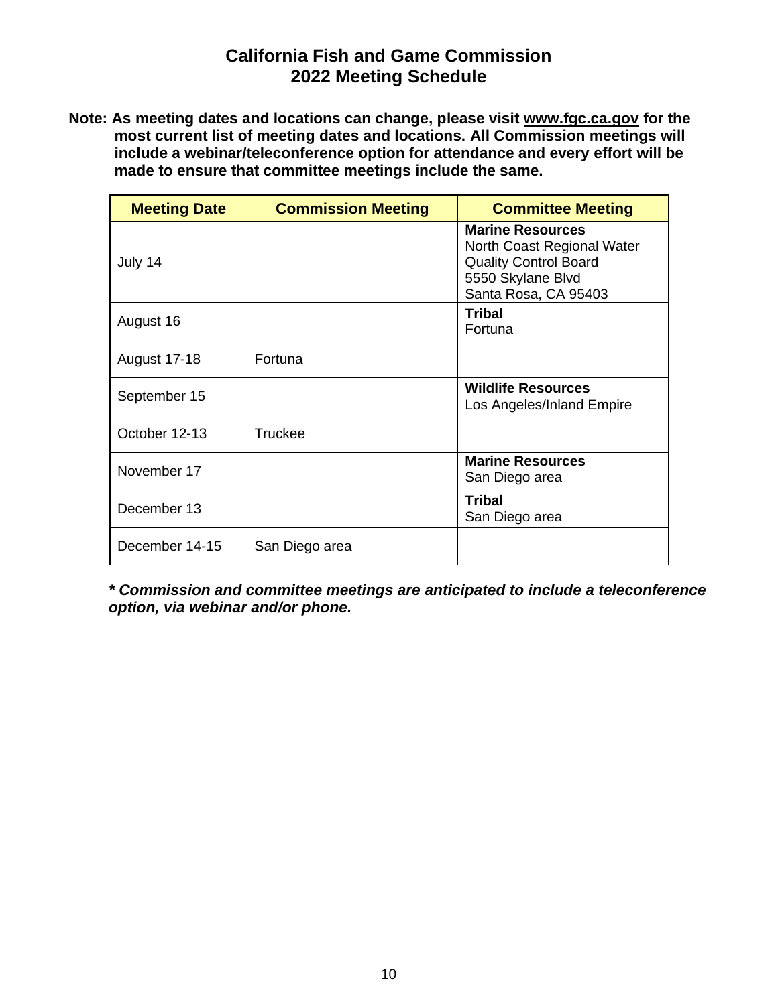## **California Fish and Game Commission 2022 Meeting Schedule**

**Note: As meeting dates and locations can change, please visit [www.fgc.ca.gov](http://www.fgc.ca.gov/) for the most current list of meeting dates and locations. All Commission meetings will include a webinar/teleconference option for attendance and every effort will be made to ensure that committee meetings include the same.**

| <b>Meeting Date</b> | <b>Commission Meeting</b> | <b>Committee Meeting</b>                                                                                                           |
|---------------------|---------------------------|------------------------------------------------------------------------------------------------------------------------------------|
| July 14             |                           | <b>Marine Resources</b><br>North Coast Regional Water<br><b>Quality Control Board</b><br>5550 Skylane Blvd<br>Santa Rosa, CA 95403 |
| August 16           |                           | Tribal<br>Fortuna                                                                                                                  |
| <b>August 17-18</b> | Fortuna                   |                                                                                                                                    |
| September 15        |                           | <b>Wildlife Resources</b><br>Los Angeles/Inland Empire                                                                             |
| October 12-13       | <b>Truckee</b>            |                                                                                                                                    |
| November 17         |                           | <b>Marine Resources</b><br>San Diego area                                                                                          |
| December 13         |                           | <b>Tribal</b><br>San Diego area                                                                                                    |
| December 14-15      | San Diego area            |                                                                                                                                    |

*\* Commission and committee meetings are anticipated to include a teleconference option, via webinar and/or phone.*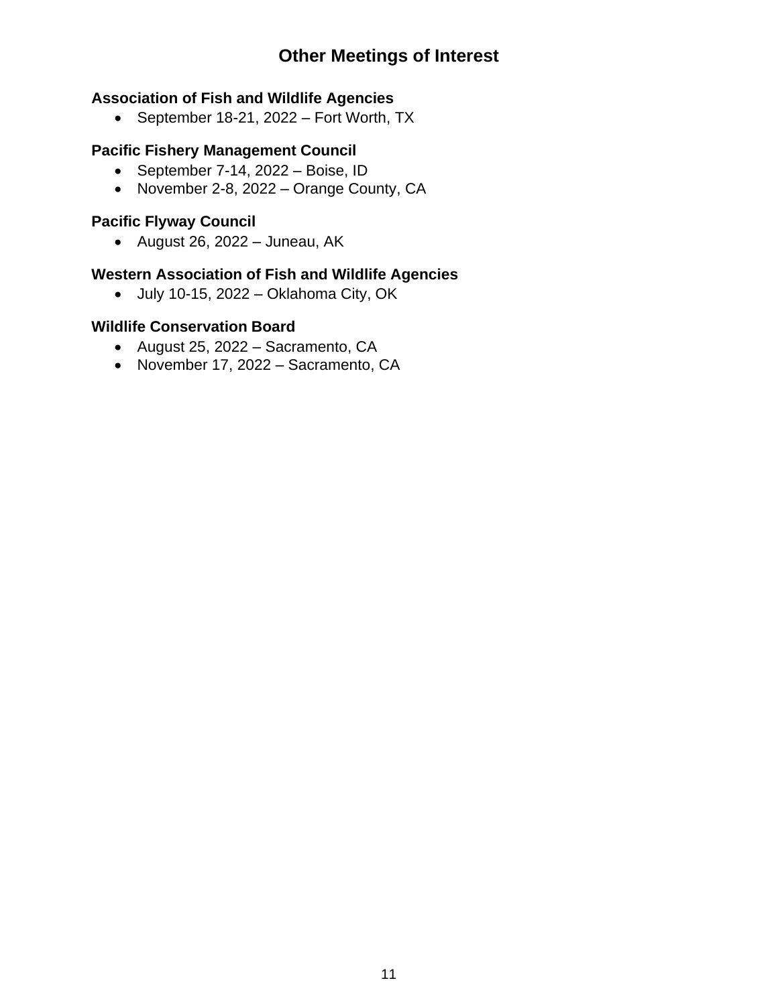# **Other Meetings of Interest**

#### **Association of Fish and Wildlife Agencies**

• September 18-21, 2022 – Fort Worth, TX

## **Pacific Fishery Management Council**

- September 7-14, 2022 Boise, ID
- November 2-8, 2022 Orange County, CA

## **Pacific Flyway Council**

• August 26, 2022 – Juneau, AK

## **Western Association of Fish and Wildlife Agencies**

• July 10-15, 2022 – Oklahoma City, OK

#### **Wildlife Conservation Board**

- August 25, 2022 Sacramento, CA
- November 17, 2022 Sacramento, CA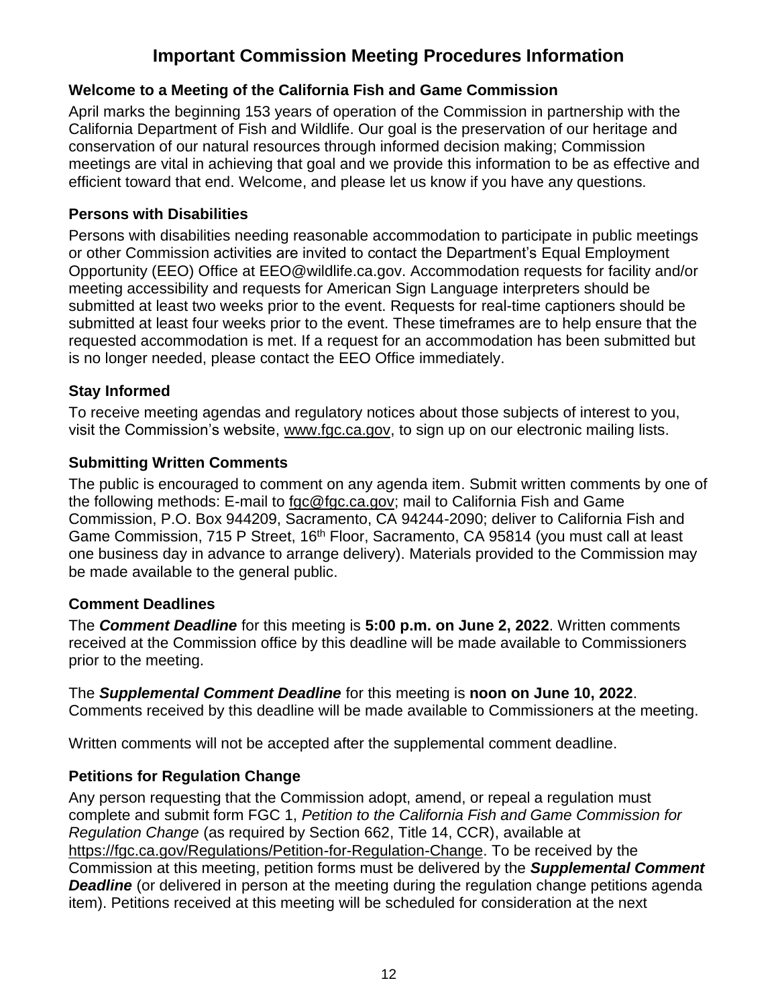# **Important Commission Meeting Procedures Information**

### **Welcome to a Meeting of the California Fish and Game Commission**

April marks the beginning 153 years of operation of the Commission in partnership with the California Department of Fish and Wildlife. Our goal is the preservation of our heritage and conservation of our natural resources through informed decision making; Commission meetings are vital in achieving that goal and we provide this information to be as effective and efficient toward that end. Welcome, and please let us know if you have any questions.

### **Persons with Disabilities**

Persons with disabilities needing reasonable accommodation to participate in public meetings or other Commission activities are invited to contact the Department's Equal Employment Opportunity (EEO) Office at EEO@wildlife.ca.gov. Accommodation requests for facility and/or meeting accessibility and requests for American Sign Language interpreters should be submitted at least two weeks prior to the event. Requests for real-time captioners should be submitted at least four weeks prior to the event. These timeframes are to help ensure that the requested accommodation is met. If a request for an accommodation has been submitted but is no longer needed, please contact the EEO Office immediately.

## **Stay Informed**

To receive meeting agendas and regulatory notices about those subjects of interest to you, visit the Commission's website, [www.fgc.ca.gov,](file://///HQGroup3.AD.Dfg.Ca.Gov/HQ10/Groups/FGC/Meetings/Agendas/Templates/www.fgc.ca.gov) to sign up on our electronic mailing lists.

## **Submitting Written Comments**

The public is encouraged to comment on any agenda item. Submit written comments by one of the following methods: E-mail to [fgc@fgc.ca.gov;](mailto:fgc@fgc.ca.gov) mail to California Fish and Game Commission, P.O. Box 944209, Sacramento, CA 94244-2090; deliver to California Fish and Game Commission, 715 P Street, 16<sup>th</sup> Floor, Sacramento, CA 95814 (you must call at least one business day in advance to arrange delivery). Materials provided to the Commission may be made available to the general public.

### **Comment Deadlines**

The *Comment Deadline* for this meeting is **5:00 p.m. on June 2, 2022**. Written comments received at the Commission office by this deadline will be made available to Commissioners prior to the meeting.

#### The *Supplemental Comment Deadline* for this meeting is **noon on June 10, 2022**. Comments received by this deadline will be made available to Commissioners at the meeting.

Written comments will not be accepted after the supplemental comment deadline.

## **Petitions for Regulation Change**

Any person requesting that the Commission adopt, amend, or repeal a regulation must complete and submit form FGC 1, *Petition to the California Fish and Game Commission for Regulation Change* (as required by Section 662, Title 14, CCR), available at [https://fgc.ca.gov/Regulations/Petition-for-Regulation-Change.](https://fgc.ca.gov/Regulations/Petition-for-Regulation-Change) To be received by the Commission at this meeting, petition forms must be delivered by the *Supplemental Comment*  **Deadline** (or delivered in person at the meeting during the regulation change petitions agenda item). Petitions received at this meeting will be scheduled for consideration at the next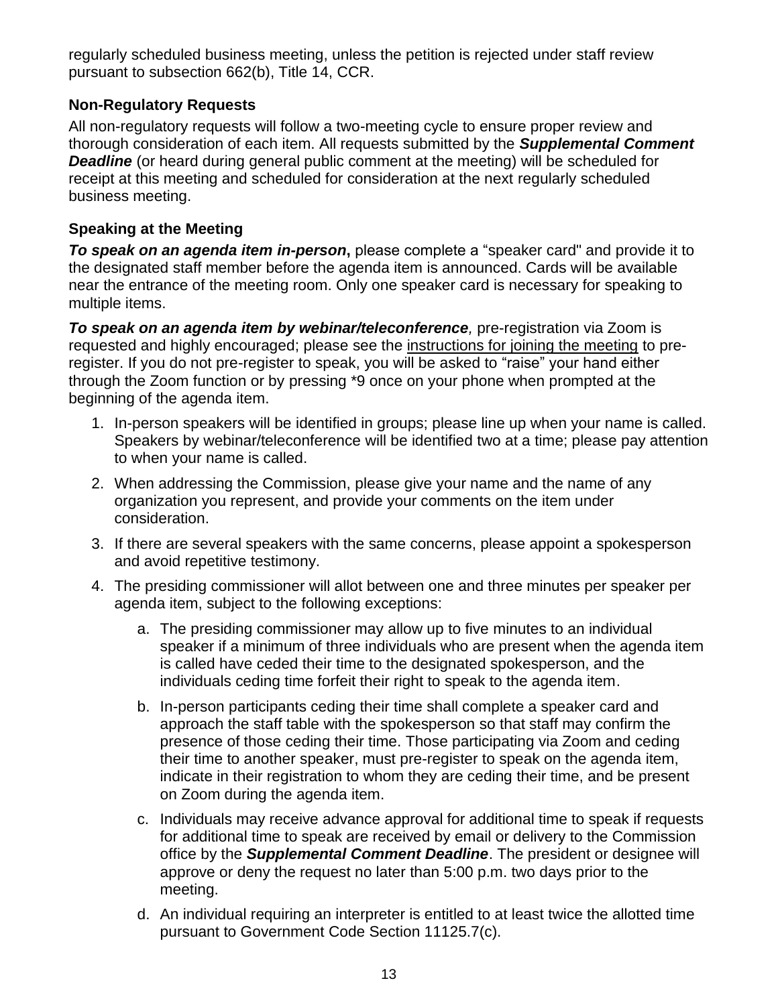regularly scheduled business meeting, unless the petition is rejected under staff review pursuant to subsection 662(b), Title 14, CCR.

### **Non-Regulatory Requests**

All non-regulatory requests will follow a two-meeting cycle to ensure proper review and thorough consideration of each item. All requests submitted by the *Supplemental Comment*  **Deadline** (or heard during general public comment at the meeting) will be scheduled for receipt at this meeting and scheduled for consideration at the next regularly scheduled business meeting.

### **Speaking at the Meeting**

*To speak on an agenda item in-person***,** please complete a "speaker card" and provide it to the designated staff member before the agenda item is announced. Cards will be available near the entrance of the meeting room. Only one speaker card is necessary for speaking to multiple items.

*To speak on an agenda item by webinar/teleconference,* pre-registration via Zoom is requested and highly encouraged; please see the [instructions for joining the meeting](https://nrm.dfg.ca.gov/FileHandler.ashx?DocumentID=199050&inline) to preregister. If you do not pre-register to speak, you will be asked to "raise" your hand either through the Zoom function or by pressing \*9 once on your phone when prompted at the beginning of the agenda item.

- 1. In-person speakers will be identified in groups; please line up when your name is called. Speakers by webinar/teleconference will be identified two at a time; please pay attention to when your name is called.
- 2. When addressing the Commission, please give your name and the name of any organization you represent, and provide your comments on the item under consideration.
- 3. If there are several speakers with the same concerns, please appoint a spokesperson and avoid repetitive testimony.
- 4. The presiding commissioner will allot between one and three minutes per speaker per agenda item, subject to the following exceptions:
	- a. The presiding commissioner may allow up to five minutes to an individual speaker if a minimum of three individuals who are present when the agenda item is called have ceded their time to the designated spokesperson, and the individuals ceding time forfeit their right to speak to the agenda item.
	- b. In-person participants ceding their time shall complete a speaker card and approach the staff table with the spokesperson so that staff may confirm the presence of those ceding their time. Those participating via Zoom and ceding their time to another speaker, must pre-register to speak on the agenda item, indicate in their registration to whom they are ceding their time, and be present on Zoom during the agenda item.
	- c. Individuals may receive advance approval for additional time to speak if requests for additional time to speak are received by email or delivery to the Commission office by the *Supplemental Comment Deadline*. The president or designee will approve or deny the request no later than 5:00 p.m. two days prior to the meeting.
	- d. An individual requiring an interpreter is entitled to at least twice the allotted time pursuant to Government Code Section 11125.7(c).